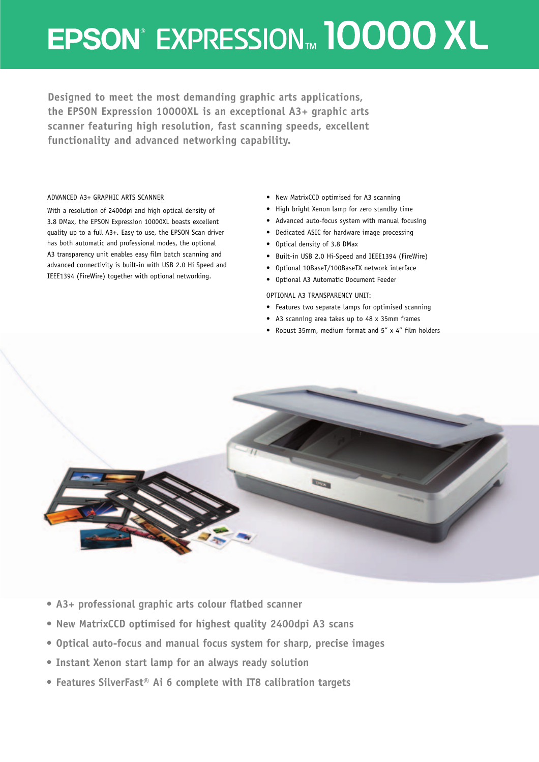# EPSON<sup>®</sup> EXPRESSION™ 10000 XL

**Designed to meet the most demanding graphic arts applications, the EPSON Expression 10000XL is an exceptional A3+ graphic arts scanner featuring high resolution, fast scanning speeds, excellent functionality and advanced networking capability.**

### ADVANCED A3+ GRAPHIC ARTS SCANNER

With a resolution of 2400dpi and high optical density of 3.8 DMax, the EPSON Expression 10000XL boasts excellent quality up to a full A3+. Easy to use, the EPSON Scan driver has both automatic and professional modes, the optional A3 transparency unit enables easy film batch scanning and advanced connectivity is built-in with USB 2.0 Hi Speed and IEEE1394 (FireWire) together with optional networking.

- New MatrixCCD optimised for A3 scanning
- High bright Xenon lamp for zero standby time
- Advanced auto-focus system with manual focusing
- Dedicated ASIC for hardware image processing
- Optical density of 3.8 DMax
- Built-in USB 2.0 Hi-Speed and IEEE1394 (FireWire)
- Optional 10BaseT/100BaseTX network interface
- Optional A3 Automatic Document Feeder

### OPTIONAL A3 TRANSPARENCY UNIT:

- Features two separate lamps for optimised scanning
- A3 scanning area takes up to 48 x 35mm frames
- Robust 35mm, medium format and 5" x 4" film holders



- **• A3+ professional graphic arts colour flatbed scanner**
- **New MatrixCCD optimised for highest quality 2400dpi A3 scans**
- **• Optical auto-focus and manual focus system for sharp, precise images**
- **• Instant Xenon start lamp for an always ready solution**
- **Features SilverFast® Ai 6 complete with IT8 calibration targets**